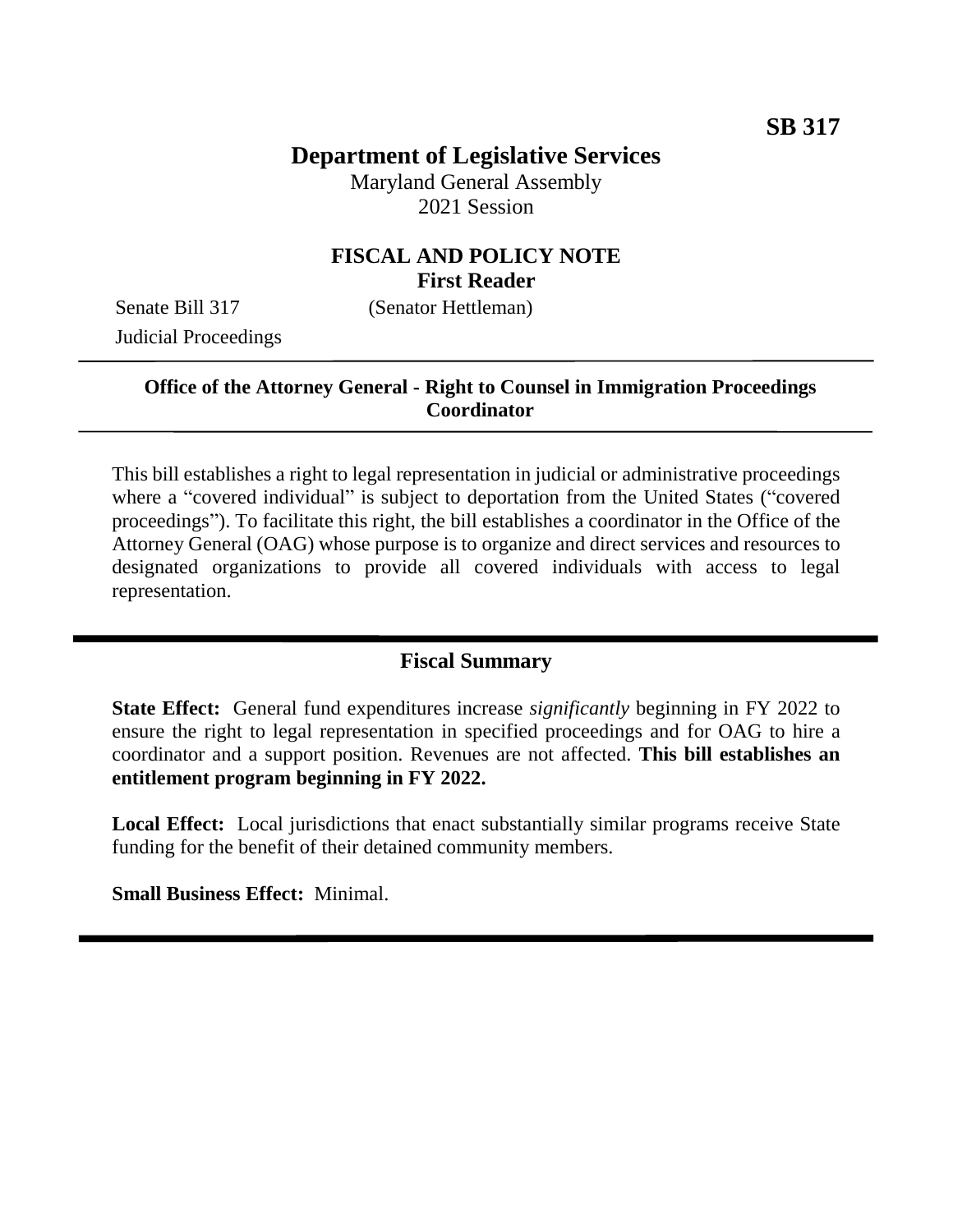# **Department of Legislative Services**

Maryland General Assembly 2021 Session

# **FISCAL AND POLICY NOTE First Reader**

Senate Bill 317 (Senator Hettleman) Judicial Proceedings

## **Office of the Attorney General - Right to Counsel in Immigration Proceedings Coordinator**

This bill establishes a right to legal representation in judicial or administrative proceedings where a "covered individual" is subject to deportation from the United States ("covered proceedings"). To facilitate this right, the bill establishes a coordinator in the Office of the Attorney General (OAG) whose purpose is to organize and direct services and resources to designated organizations to provide all covered individuals with access to legal representation.

## **Fiscal Summary**

**State Effect:** General fund expenditures increase *significantly* beginning in FY 2022 to ensure the right to legal representation in specified proceedings and for OAG to hire a coordinator and a support position. Revenues are not affected. **This bill establishes an entitlement program beginning in FY 2022.**

**Local Effect:** Local jurisdictions that enact substantially similar programs receive State funding for the benefit of their detained community members.

**Small Business Effect:** Minimal.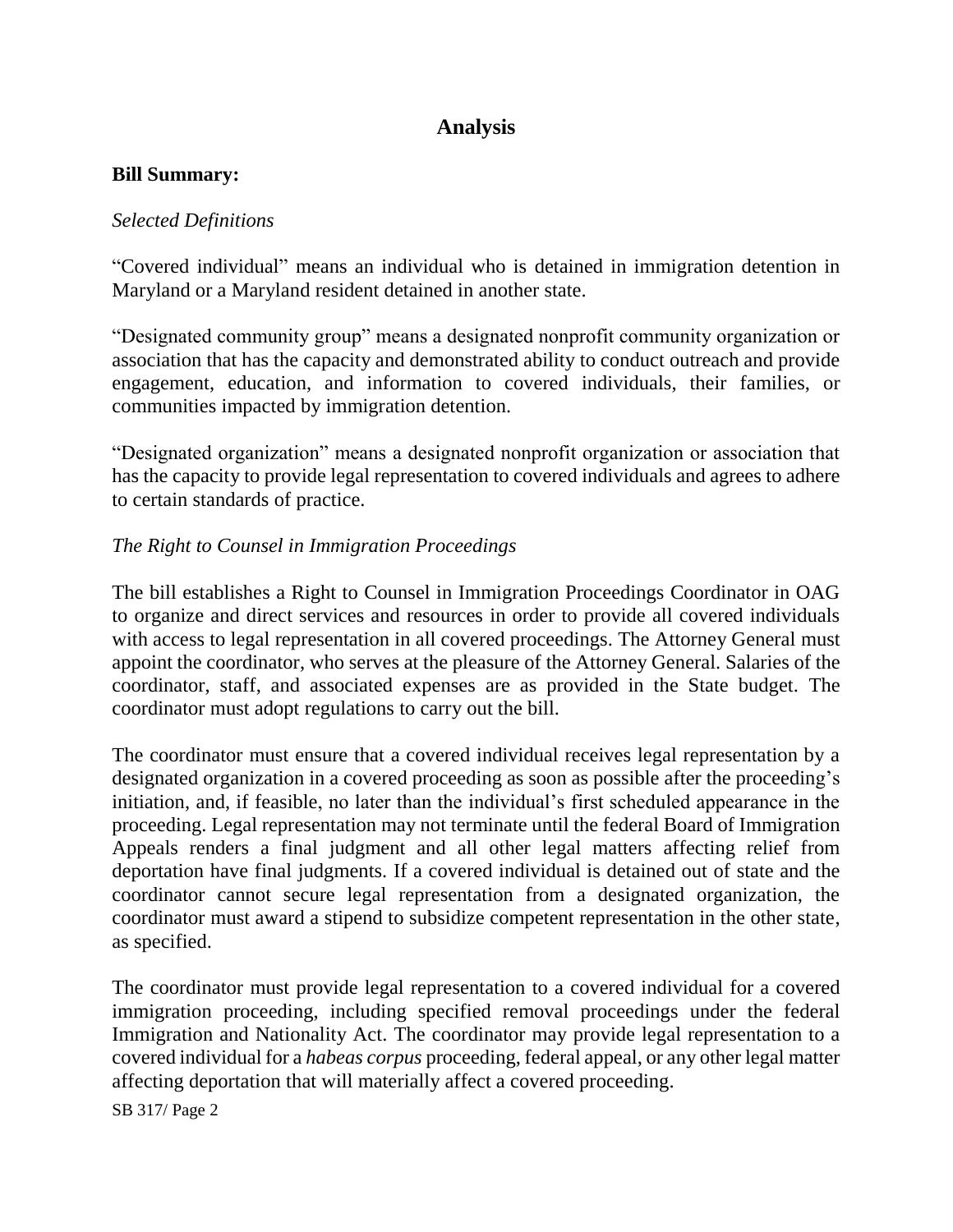# **Analysis**

#### **Bill Summary:**

#### *Selected Definitions*

"Covered individual" means an individual who is detained in immigration detention in Maryland or a Maryland resident detained in another state.

"Designated community group" means a designated nonprofit community organization or association that has the capacity and demonstrated ability to conduct outreach and provide engagement, education, and information to covered individuals, their families, or communities impacted by immigration detention.

"Designated organization" means a designated nonprofit organization or association that has the capacity to provide legal representation to covered individuals and agrees to adhere to certain standards of practice.

### *The Right to Counsel in Immigration Proceedings*

The bill establishes a Right to Counsel in Immigration Proceedings Coordinator in OAG to organize and direct services and resources in order to provide all covered individuals with access to legal representation in all covered proceedings. The Attorney General must appoint the coordinator, who serves at the pleasure of the Attorney General. Salaries of the coordinator, staff, and associated expenses are as provided in the State budget. The coordinator must adopt regulations to carry out the bill.

The coordinator must ensure that a covered individual receives legal representation by a designated organization in a covered proceeding as soon as possible after the proceeding's initiation, and, if feasible, no later than the individual's first scheduled appearance in the proceeding. Legal representation may not terminate until the federal Board of Immigration Appeals renders a final judgment and all other legal matters affecting relief from deportation have final judgments. If a covered individual is detained out of state and the coordinator cannot secure legal representation from a designated organization, the coordinator must award a stipend to subsidize competent representation in the other state, as specified.

The coordinator must provide legal representation to a covered individual for a covered immigration proceeding, including specified removal proceedings under the federal Immigration and Nationality Act. The coordinator may provide legal representation to a covered individual for a *habeas corpus* proceeding, federal appeal, or any other legal matter affecting deportation that will materially affect a covered proceeding.

SB 317/ Page 2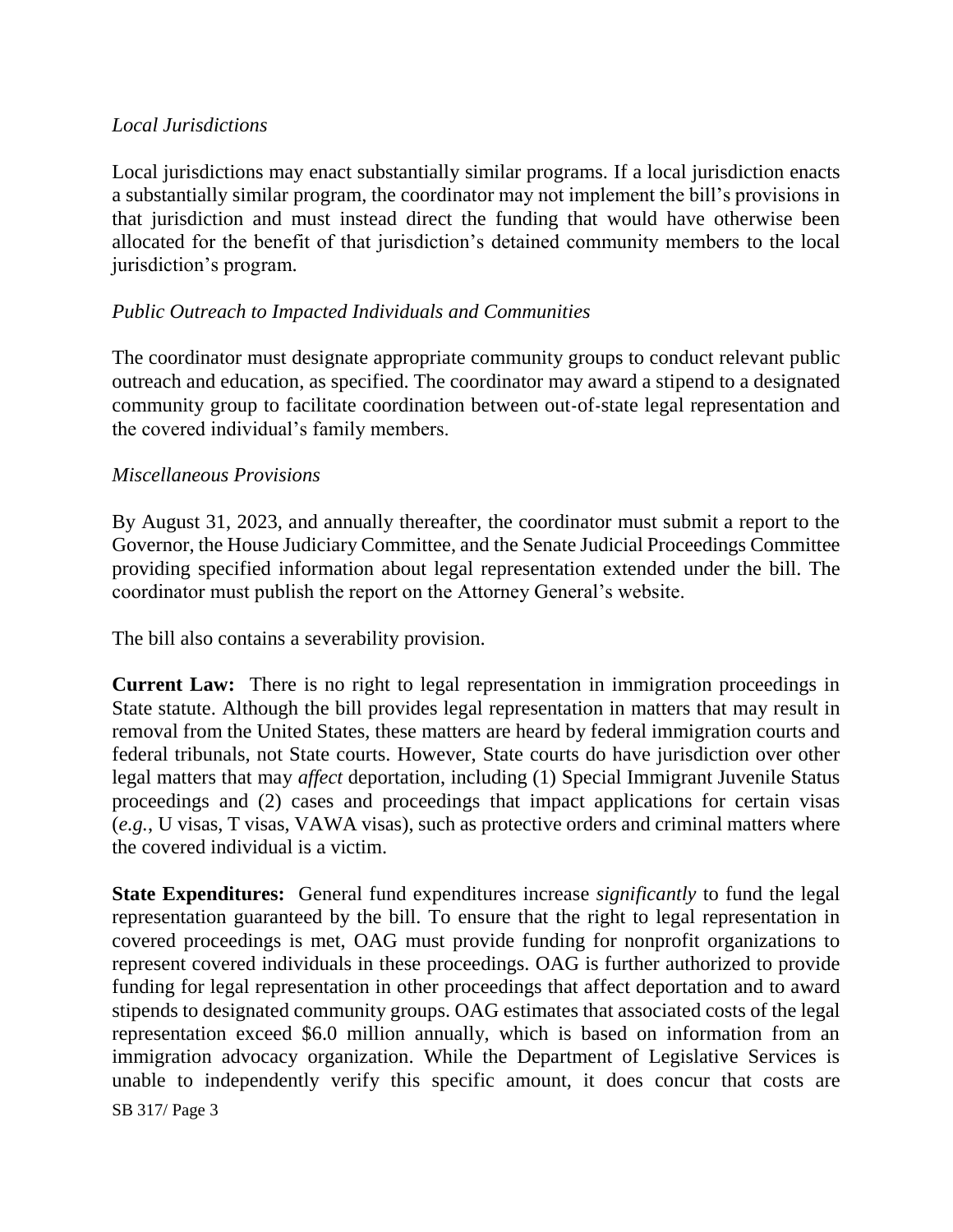## *Local Jurisdictions*

Local jurisdictions may enact substantially similar programs. If a local jurisdiction enacts a substantially similar program, the coordinator may not implement the bill's provisions in that jurisdiction and must instead direct the funding that would have otherwise been allocated for the benefit of that jurisdiction's detained community members to the local jurisdiction's program.

## *Public Outreach to Impacted Individuals and Communities*

The coordinator must designate appropriate community groups to conduct relevant public outreach and education, as specified. The coordinator may award a stipend to a designated community group to facilitate coordination between out-of-state legal representation and the covered individual's family members.

#### *Miscellaneous Provisions*

By August 31, 2023, and annually thereafter, the coordinator must submit a report to the Governor, the House Judiciary Committee, and the Senate Judicial Proceedings Committee providing specified information about legal representation extended under the bill. The coordinator must publish the report on the Attorney General's website.

The bill also contains a severability provision.

**Current Law:** There is no right to legal representation in immigration proceedings in State statute. Although the bill provides legal representation in matters that may result in removal from the United States, these matters are heard by federal immigration courts and federal tribunals, not State courts. However, State courts do have jurisdiction over other legal matters that may *affect* deportation, including (1) Special Immigrant Juvenile Status proceedings and (2) cases and proceedings that impact applications for certain visas (*e.g.*, U visas, T visas, VAWA visas), such as protective orders and criminal matters where the covered individual is a victim.

**State Expenditures:** General fund expenditures increase *significantly* to fund the legal representation guaranteed by the bill. To ensure that the right to legal representation in covered proceedings is met, OAG must provide funding for nonprofit organizations to represent covered individuals in these proceedings. OAG is further authorized to provide funding for legal representation in other proceedings that affect deportation and to award stipends to designated community groups. OAG estimates that associated costs of the legal representation exceed \$6.0 million annually, which is based on information from an immigration advocacy organization. While the Department of Legislative Services is unable to independently verify this specific amount, it does concur that costs are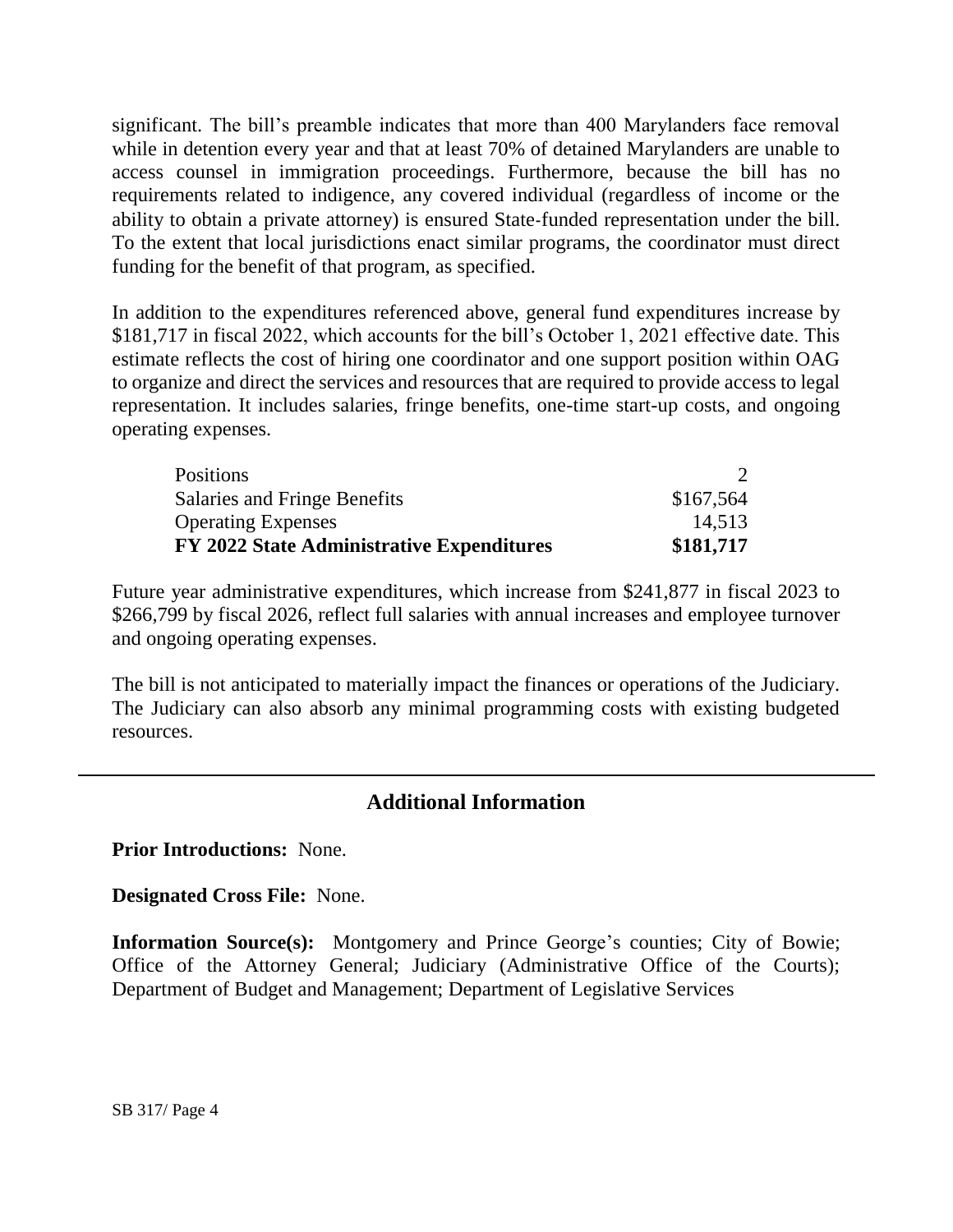significant. The bill's preamble indicates that more than 400 Marylanders face removal while in detention every year and that at least 70% of detained Marylanders are unable to access counsel in immigration proceedings. Furthermore, because the bill has no requirements related to indigence, any covered individual (regardless of income or the ability to obtain a private attorney) is ensured State-funded representation under the bill. To the extent that local jurisdictions enact similar programs, the coordinator must direct funding for the benefit of that program, as specified.

In addition to the expenditures referenced above, general fund expenditures increase by \$181,717 in fiscal 2022, which accounts for the bill's October 1, 2021 effective date. This estimate reflects the cost of hiring one coordinator and one support position within OAG to organize and direct the services and resources that are required to provide access to legal representation. It includes salaries, fringe benefits, one-time start-up costs, and ongoing operating expenses.

| <b>Positions</b>                                 |           |
|--------------------------------------------------|-----------|
| <b>Salaries and Fringe Benefits</b>              | \$167,564 |
| <b>Operating Expenses</b>                        | 14,513    |
| <b>FY 2022 State Administrative Expenditures</b> | \$181,717 |

Future year administrative expenditures, which increase from \$241,877 in fiscal 2023 to \$266,799 by fiscal 2026, reflect full salaries with annual increases and employee turnover and ongoing operating expenses.

The bill is not anticipated to materially impact the finances or operations of the Judiciary. The Judiciary can also absorb any minimal programming costs with existing budgeted resources.

# **Additional Information**

**Prior Introductions:** None.

**Designated Cross File:** None.

**Information Source(s):** Montgomery and Prince George's counties; City of Bowie; Office of the Attorney General; Judiciary (Administrative Office of the Courts); Department of Budget and Management; Department of Legislative Services